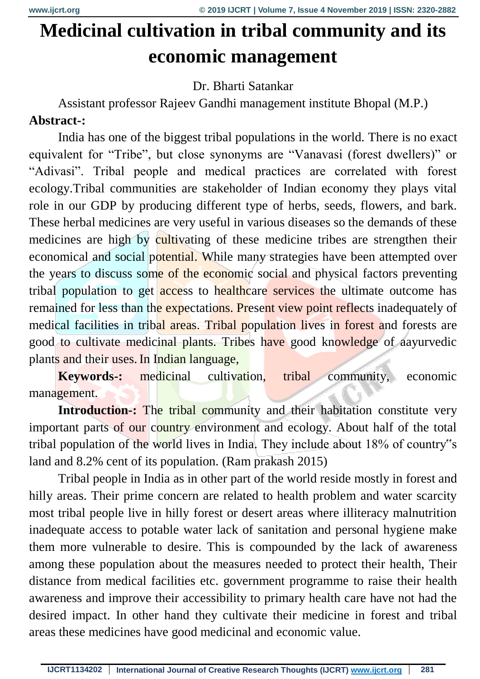## **Medicinal cultivation in tribal community and its economic management**

## Dr. Bharti Satankar

Assistant professor Rajeev Gandhi management institute Bhopal (M.P.) **Abstract-:**

India has one of the biggest tribal populations in the world. There is no exact equivalent for "Tribe", but close synonyms are "Vanavasi (forest dwellers)" or "Adivasi". Tribal people and medical practices are correlated with forest ecology.Tribal communities are stakeholder of Indian economy they plays vital role in our GDP by producing different type of herbs, seeds, flowers, and bark. These herbal medicines are very useful in various diseases so the demands of these medicines are high by cultivating of these medicine tribes are strengthen their economical and social potential. While many strategies have been attempted over the years to discuss some of the economic social and physical factors preventing tribal population to get access to healthcare services the ultimate outcome has remained for less than the expectations. Present view point reflects inadequately of medical facilities in tribal areas. Tribal population lives in forest and forests are good to cultivate medicinal plants. Tribes have good knowledge of aayurvedic plants and their uses.In Indian language,

**Keywords-:** medicinal cultivation, tribal community, economic management.

**Introduction-:** The tribal community and their habitation constitute very important parts of our country environment and ecology. About half of the total tribal population of the world lives in India. They include about 18% of country"s land and 8.2% cent of its population. (Ram prakash 2015)

Tribal people in India as in other part of the world reside mostly in forest and hilly areas. Their prime concern are related to health problem and water scarcity most tribal people live in hilly forest or desert areas where illiteracy malnutrition inadequate access to potable water lack of sanitation and personal hygiene make them more vulnerable to desire. This is compounded by the lack of awareness among these population about the measures needed to protect their health, Their distance from medical facilities etc. government programme to raise their health awareness and improve their accessibility to primary health care have not had the desired impact. In other hand they cultivate their medicine in forest and tribal areas these medicines have good medicinal and economic value.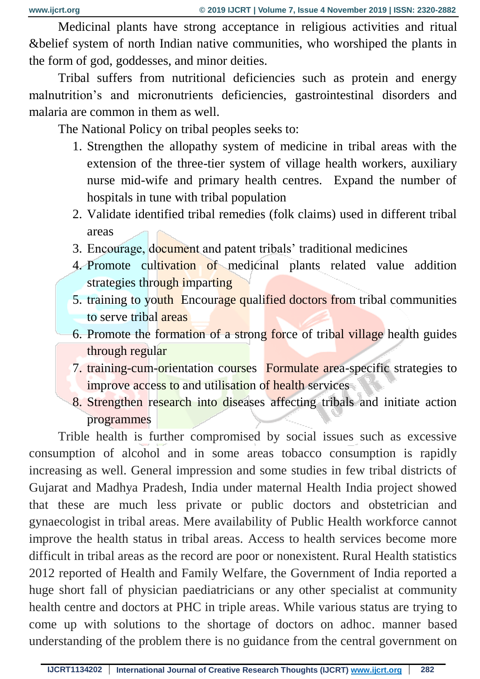Medicinal plants have strong acceptance in religious activities and ritual &belief system of north Indian native communities, who worshiped the plants in the form of god, goddesses, and minor deities.

Tribal suffers from nutritional deficiencies such as protein and energy malnutrition's and micronutrients deficiencies, gastrointestinal disorders and malaria are common in them as well.

The National Policy on tribal peoples seeks to:

- 1. Strengthen the allopathy system of medicine in tribal areas with the extension of the three-tier system of village health workers, auxiliary nurse mid-wife and primary health centres. Expand the number of hospitals in tune with tribal population
- 2. Validate identified tribal remedies (folk claims) used in different tribal areas
- 3. Encourage, document and patent tribals' traditional medicines
- 4. Promote cultivation of medicinal plants related value addition strategies through imparting
- 5. training to youth Encourage qualified doctors from tribal communities to serve tribal areas
- 6. Promote the formation of a strong force of tribal village health guides through regular
- 7. training-cum-orientation courses Formulate area-specific strategies to improve access to and utilisation of health services
- 8. Strengthen research into diseases affecting tribals and initiate action programmes

Trible health is further compromised by social issues such as excessive consumption of alcohol and in some areas tobacco consumption is rapidly increasing as well. General impression and some studies in few tribal districts of Gujarat and Madhya Pradesh, India under maternal Health India project showed that these are much less private or public doctors and obstetrician and gynaecologist in tribal areas. Mere availability of Public Health workforce cannot improve the health status in tribal areas. Access to health services become more difficult in tribal areas as the record are poor or nonexistent. Rural Health statistics 2012 reported of Health and Family Welfare, the Government of India reported a huge short fall of physician paediatricians or any other specialist at community health centre and doctors at PHC in triple areas. While various status are trying to come up with solutions to the shortage of doctors on adhoc. manner based understanding of the problem there is no guidance from the central government on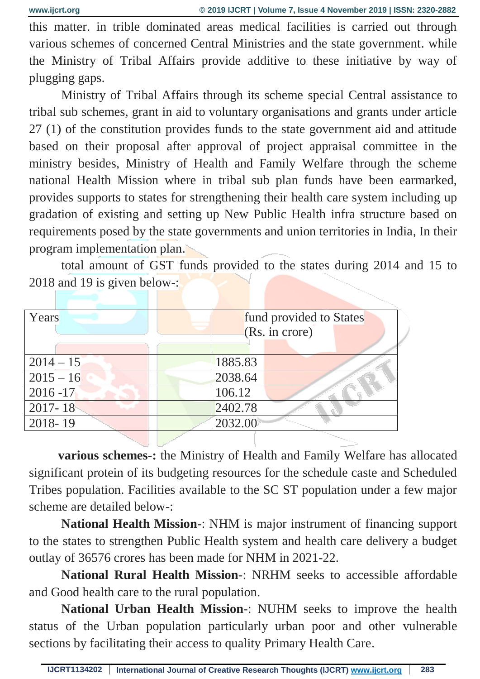this matter. in trible dominated areas medical facilities is carried out through various schemes of concerned Central Ministries and the state government. while the Ministry of Tribal Affairs provide additive to these initiative by way of plugging gaps.

Ministry of Tribal Affairs through its scheme special Central assistance to tribal sub schemes, grant in aid to voluntary organisations and grants under article 27 (1) of the constitution provides funds to the state government aid and attitude based on their proposal after approval of project appraisal committee in the ministry besides, Ministry of Health and Family Welfare through the scheme national Health Mission where in tribal sub plan funds have been earmarked, provides supports to states for strengthening their health care system including up gradation of existing and setting up New Public Health infra structure based on requirements posed by the state governments and union territories in India, In their program implementation plan.

total amount of GST funds provided to the states during 2014 and 15 to 2018 and 19 is given below-:

| Years       | fund provided to States |                |
|-------------|-------------------------|----------------|
|             |                         | (Rs. in crore) |
|             |                         |                |
| $2014 - 15$ | 1885.83                 |                |
| $2015 - 16$ | 2038.64                 |                |
| $2016 - 17$ | 106.12                  |                |
| $2017 - 18$ | 2402.78                 |                |
| 2018-19     | 2032.00                 |                |

**various schemes-:** the Ministry of Health and Family Welfare has allocated significant protein of its budgeting resources for the schedule caste and Scheduled Tribes population. Facilities available to the SC ST population under a few major scheme are detailed below-:

**National Health Mission**-: NHM is major instrument of financing support to the states to strengthen Public Health system and health care delivery a budget outlay of 36576 crores has been made for NHM in 2021-22.

**National Rural Health Mission**-: NRHM seeks to accessible affordable and Good health care to the rural population.

**National Urban Health Mission**-: NUHM seeks to improve the health status of the Urban population particularly urban poor and other vulnerable sections by facilitating their access to quality Primary Health Care.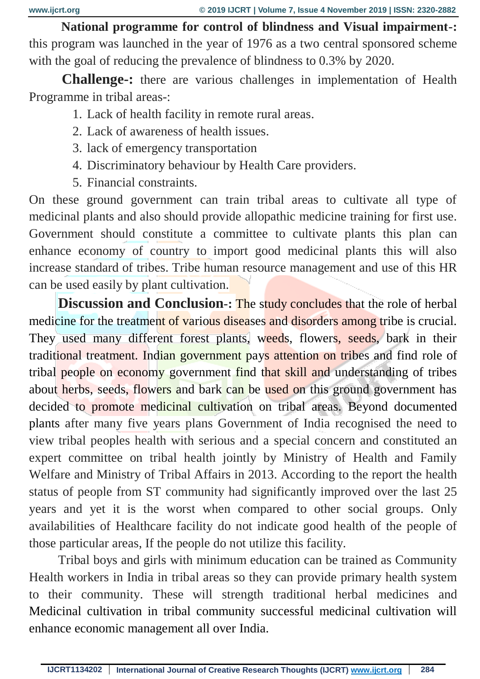**National programme for control of blindness and Visual impairment-:** this program was launched in the year of 1976 as a two central sponsored scheme with the goal of reducing the prevalence of blindness to 0.3% by 2020.

**Challenge-:** there are various challenges in implementation of Health Programme in tribal areas-:

- 1. Lack of health facility in remote rural areas.
- 2. Lack of awareness of health issues.
- 3. lack of emergency transportation
- 4. Discriminatory behaviour by Health Care providers.
- 5. Financial constraints.

On these ground government can train tribal areas to cultivate all type of medicinal plants and also should provide allopathic medicine training for first use. Government should constitute a committee to cultivate plants this plan can enhance economy of country to import good medicinal plants this will also increase standard of tribes. Tribe human resource management and use of this HR can be used easily by plant cultivation.

**Discussion and Conclusion-:** The study concludes that the role of herbal medicine for the treatment of various diseases and disorders among tribe is crucial. They used many different forest plants, weeds, flowers, seeds, bark in their traditional treatment. Indian government pays attention on tribes and find role of tribal people on economy government find that skill and understanding of tribes about herbs, seeds, flowers and bark can be used on this ground government has decided to promote medicinal cultivation on tribal areas. Beyond documented plants after many five years plans Government of India recognised the need to view tribal peoples health with serious and a special concern and constituted an expert committee on tribal health jointly by Ministry of Health and Family Welfare and Ministry of Tribal Affairs in 2013. According to the report the health status of people from ST community had significantly improved over the last 25 years and yet it is the worst when compared to other social groups. Only availabilities of Healthcare facility do not indicate good health of the people of those particular areas, If the people do not utilize this facility.

Tribal boys and girls with minimum education can be trained as Community Health workers in India in tribal areas so they can provide primary health system to their community. These will strength traditional herbal medicines and Medicinal cultivation in tribal community successful medicinal cultivation will enhance economic management all over India.